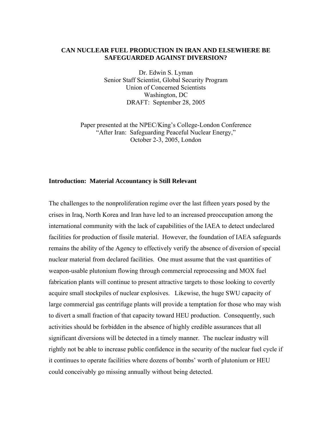# **CAN NUCLEAR FUEL PRODUCTION IN IRAN AND ELSEWHERE BE SAFEGUARDED AGAINST DIVERSION?**

Dr. Edwin S. Lyman Senior Staff Scientist, Global Security Program Union of Concerned Scientists Washington, DC DRAFT: September 28, 2005

Paper presented at the NPEC/King's College-London Conference "After Iran: Safeguarding Peaceful Nuclear Energy," October 2-3, 2005, London

# **Introduction: Material Accountancy is Still Relevant**

The challenges to the nonproliferation regime over the last fifteen years posed by the crises in Iraq, North Korea and Iran have led to an increased preoccupation among the international community with the lack of capabilities of the IAEA to detect undeclared facilities for production of fissile material. However, the foundation of IAEA safeguards remains the ability of the Agency to effectively verify the absence of diversion of special nuclear material from declared facilities. One must assume that the vast quantities of weapon-usable plutonium flowing through commercial reprocessing and MOX fuel fabrication plants will continue to present attractive targets to those looking to covertly acquire small stockpiles of nuclear explosives. Likewise, the huge SWU capacity of large commercial gas centrifuge plants will provide a temptation for those who may wish to divert a small fraction of that capacity toward HEU production. Consequently, such activities should be forbidden in the absence of highly credible assurances that all significant diversions will be detected in a timely manner. The nuclear industry will rightly not be able to increase public confidence in the security of the nuclear fuel cycle if it continues to operate facilities where dozens of bombs' worth of plutonium or HEU could conceivably go missing annually without being detected.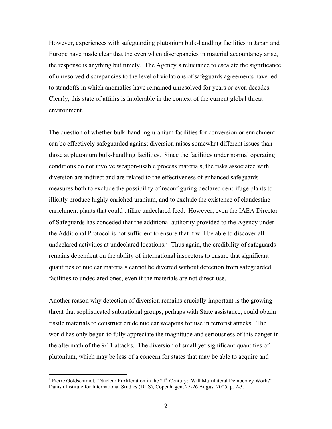However, experiences with safeguarding plutonium bulk-handling facilities in Japan and Europe have made clear that the even when discrepancies in material accountancy arise, the response is anything but timely. The Agency's reluctance to escalate the significance of unresolved discrepancies to the level of violations of safeguards agreements have led to standoffs in which anomalies have remained unresolved for years or even decades. Clearly, this state of affairs is intolerable in the context of the current global threat environment.

The question of whether bulk-handling uranium facilities for conversion or enrichment can be effectively safeguarded against diversion raises somewhat different issues than those at plutonium bulk-handling facilities. Since the facilities under normal operating conditions do not involve weapon-usable process materials, the risks associated with diversion are indirect and are related to the effectiveness of enhanced safeguards measures both to exclude the possibility of reconfiguring declared centrifuge plants to illicitly produce highly enriched uranium, and to exclude the existence of clandestine enrichment plants that could utilize undeclared feed. However, even the IAEA Director of Safeguards has conceded that the additional authority provided to the Agency under the Additional Protocol is not sufficient to ensure that it will be able to discover all undeclared activities at undeclared locations.<sup>1</sup> Thus again, the credibility of safeguards remains dependent on the ability of international inspectors to ensure that significant quantities of nuclear materials cannot be diverted without detection from safeguarded facilities to undeclared ones, even if the materials are not direct-use.

Another reason why detection of diversion remains crucially important is the growing threat that sophisticated subnational groups, perhaps with State assistance, could obtain fissile materials to construct crude nuclear weapons for use in terrorist attacks. The world has only begun to fully appreciate the magnitude and seriousness of this danger in the aftermath of the 9/11 attacks. The diversion of small yet significant quantities of plutonium, which may be less of a concern for states that may be able to acquire and

<sup>&</sup>lt;sup>1</sup> Pierre Goldschmidt, "Nuclear Proliferation in the  $21<sup>st</sup>$  Century: Will Multilateral Democracy Work?" Danish Institute for International Studies (DIIS), Copenhagen, 25-26 August 2005, p. 2-3.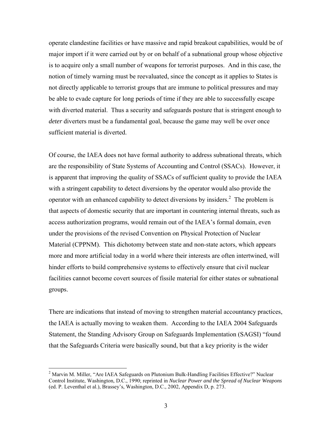operate clandestine facilities or have massive and rapid breakout capabilities, would be of major import if it were carried out by or on behalf of a subnational group whose objective is to acquire only a small number of weapons for terrorist purposes. And in this case, the notion of timely warning must be reevaluated, since the concept as it applies to States is not directly applicable to terrorist groups that are immune to political pressures and may be able to evade capture for long periods of time if they are able to successfully escape with diverted material. Thus a security and safeguards posture that is stringent enough to *deter* diverters must be a fundamental goal, because the game may well be over once sufficient material is diverted.

Of course, the IAEA does not have formal authority to address subnational threats, which are the responsibility of State Systems of Accounting and Control (SSACs). However, it is apparent that improving the quality of SSACs of sufficient quality to provide the IAEA with a stringent capability to detect diversions by the operator would also provide the operator with an enhanced capability to detect diversions by insiders.<sup>2</sup> The problem is that aspects of domestic security that are important in countering internal threats, such as access authorization programs, would remain out of the IAEA's formal domain, even under the provisions of the revised Convention on Physical Protection of Nuclear Material (CPPNM). This dichotomy between state and non-state actors, which appears more and more artificial today in a world where their interests are often intertwined, will hinder efforts to build comprehensive systems to effectively ensure that civil nuclear facilities cannot become covert sources of fissile material for either states or subnational groups.

There are indications that instead of moving to strengthen material accountancy practices, the IAEA is actually moving to weaken them. According to the IAEA 2004 Safeguards Statement, the Standing Advisory Group on Safeguards Implementation (SAGSI) "found that the Safeguards Criteria were basically sound, but that a key priority is the wider

 $2$  Marvin M. Miller, "Are IAEA Safeguards on Plutonium Bulk-Handling Facilities Effective?" Nuclear Control Institute, Washington, D.C., 1990; reprinted in *Nuclear Power and the Spread of Nuclear Weapons* (ed. P. Leventhal et al.), Brassey's, Washington, D.C., 2002, Appendix D, p. 273.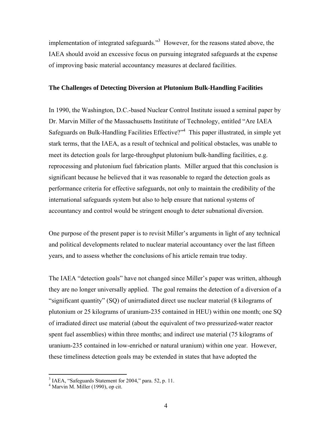implementation of integrated safeguards."<sup>3</sup> However, for the reasons stated above, the IAEA should avoid an excessive focus on pursuing integrated safeguards at the expense of improving basic material accountancy measures at declared facilities.

# **The Challenges of Detecting Diversion at Plutonium Bulk-Handling Facilities**

In 1990, the Washington, D.C.-based Nuclear Control Institute issued a seminal paper by Dr. Marvin Miller of the Massachusetts Instititute of Technology, entitled "Are IAEA Safeguards on Bulk-Handling Facilities Effective?"<sup>4</sup> This paper illustrated, in simple yet stark terms, that the IAEA, as a result of technical and political obstacles, was unable to meet its detection goals for large-throughput plutonium bulk-handling facilities, e.g. reprocessing and plutonium fuel fabrication plants. Miller argued that this conclusion is significant because he believed that it was reasonable to regard the detection goals as performance criteria for effective safeguards, not only to maintain the credibility of the international safeguards system but also to help ensure that national systems of accountancy and control would be stringent enough to deter subnational diversion.

One purpose of the present paper is to revisit Miller's arguments in light of any technical and political developments related to nuclear material accountancy over the last fifteen years, and to assess whether the conclusions of his article remain true today.

The IAEA "detection goals" have not changed since Miller's paper was written, although they are no longer universally applied. The goal remains the detection of a diversion of a "significant quantity" (SQ) of unirradiated direct use nuclear material (8 kilograms of plutonium or 25 kilograms of uranium-235 contained in HEU) within one month; one SQ of irradiated direct use material (about the equivalent of two pressurized-water reactor spent fuel assemblies) within three months; and indirect use material (75 kilograms of uranium-235 contained in low-enriched or natural uranium) within one year. However, these timeliness detection goals may be extended in states that have adopted the

<sup>&</sup>lt;sup>3</sup> IAEA, "Safeguards Statement for 2004," para. 52, p. 11.

<sup>4</sup> Marvin M. Miller (1990), op cit.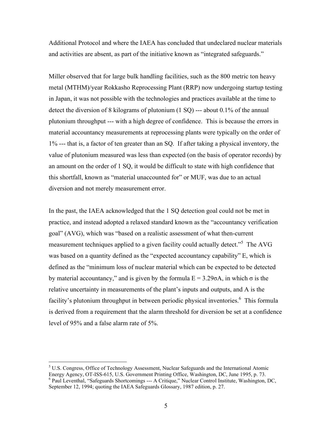Additional Protocol and where the IAEA has concluded that undeclared nuclear materials and activities are absent, as part of the initiative known as "integrated safeguards."

Miller observed that for large bulk handling facilities, such as the 800 metric ton heavy metal (MTHM)/year Rokkasho Reprocessing Plant (RRP) now undergoing startup testing in Japan, it was not possible with the technologies and practices available at the time to detect the diversion of 8 kilograms of plutonium (1 SQ) --- about 0.1% of the annual plutonium throughput --- with a high degree of confidence. This is because the errors in material accountancy measurements at reprocessing plants were typically on the order of 1% --- that is, a factor of ten greater than an SQ. If after taking a physical inventory, the value of plutonium measured was less than expected (on the basis of operator records) by an amount on the order of 1 SQ, it would be difficult to state with high confidence that this shortfall, known as "material unaccounted for" or MUF, was due to an actual diversion and not merely measurement error.

In the past, the IAEA acknowledged that the 1 SQ detection goal could not be met in practice, and instead adopted a relaxed standard known as the "accountancy verification goal" (AVG), which was "based on a realistic assessment of what then-current measurement techniques applied to a given facility could actually detect."<sup>5</sup> The AVG was based on a quantity defined as the "expected accountancy capability" E, which is defined as the "minimum loss of nuclear material which can be expected to be detected by material accountancy," and is given by the formula  $E = 3.29 \sigma A$ , in which  $\sigma$  is the relative uncertainty in measurements of the plant's inputs and outputs, and A is the facility's plutonium throughput in between periodic physical inventories.<sup>6</sup> This formula is derived from a requirement that the alarm threshold for diversion be set at a confidence level of 95% and a false alarm rate of 5%.

<sup>&</sup>lt;sup>5</sup> U.S. Congress, Office of Technology Assessment, Nuclear Safeguards and the International Atomic Energy Agency, OT-ISS-615, U.S. Government Printing Office, Washington, DC, June 1995, p. 73. <sup>6</sup> Paul Leventhal, "Safeguards Shortcomings --- A Critique," Nuclear Control Institute, Washington, DC, September 12, 1994; quoting the IAEA Safeguards Glossary, 1987 edition, p. 27.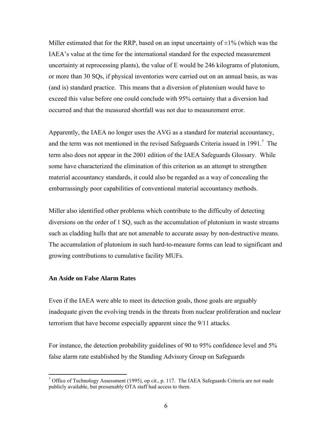Miller estimated that for the RRP, based on an input uncertainty of  $\pm 1\%$  (which was the IAEA's value at the time for the international standard for the expected measurement uncertainty at reprocessing plants), the value of E would be 246 kilograms of plutonium, or more than 30 SQs, if physical inventories were carried out on an annual basis, as was (and is) standard practice. This means that a diversion of plutonium would have to exceed this value before one could conclude with 95% certainty that a diversion had occurred and that the measured shortfall was not due to measurement error.

Apparently, the IAEA no longer uses the AVG as a standard for material accountancy, and the term was not mentioned in the revised Safeguards Criteria issued in 1991.<sup>7</sup> The term also does not appear in the 2001 edition of the IAEA Safeguards Glossary. While some have characterized the elimination of this criterion as an attempt to strengthen material accountancy standards, it could also be regarded as a way of concealing the embarrassingly poor capabilities of conventional material accountancy methods.

Miller also identified other problems which contribute to the difficulty of detecting diversions on the order of 1 SQ, such as the accumulation of plutonium in waste streams such as cladding hulls that are not amenable to accurate assay by non-destructive means. The accumulation of plutonium in such hard-to-measure forms can lead to significant and growing contributions to cumulative facility MUFs.

# **An Aside on False Alarm Rates**

 $\overline{a}$ 

Even if the IAEA were able to meet its detection goals, those goals are arguably inadequate given the evolving trends in the threats from nuclear proliferation and nuclear terrorism that have become especially apparent since the 9/11 attacks.

For instance, the detection probability guidelines of 90 to 95% confidence level and 5% false alarm rate established by the Standing Advisory Group on Safeguards

<sup>&</sup>lt;sup>7</sup> Office of Technology Assessment (1995), op cit., p. 117. The IAEA Safeguards Criteria are not made publicly available, but presumably OTA staff had access to them.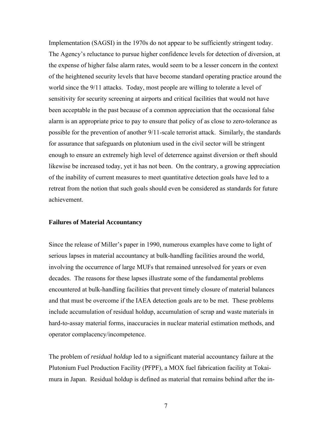Implementation (SAGSI) in the 1970s do not appear to be sufficiently stringent today. The Agency's reluctance to pursue higher confidence levels for detection of diversion, at the expense of higher false alarm rates, would seem to be a lesser concern in the context of the heightened security levels that have become standard operating practice around the world since the 9/11 attacks. Today, most people are willing to tolerate a level of sensitivity for security screening at airports and critical facilities that would not have been acceptable in the past because of a common appreciation that the occasional false alarm is an appropriate price to pay to ensure that policy of as close to zero-tolerance as possible for the prevention of another 9/11-scale terrorist attack. Similarly, the standards for assurance that safeguards on plutonium used in the civil sector will be stringent enough to ensure an extremely high level of deterrence against diversion or theft should likewise be increased today, yet it has not been. On the contrary, a growing appreciation of the inability of current measures to meet quantitative detection goals have led to a retreat from the notion that such goals should even be considered as standards for future achievement.

#### **Failures of Material Accountancy**

Since the release of Miller's paper in 1990, numerous examples have come to light of serious lapses in material accountancy at bulk-handling facilities around the world, involving the occurrence of large MUFs that remained unresolved for years or even decades. The reasons for these lapses illustrate some of the fundamental problems encountered at bulk-handling facilities that prevent timely closure of material balances and that must be overcome if the IAEA detection goals are to be met. These problems include accumulation of residual holdup, accumulation of scrap and waste materials in hard-to-assay material forms, inaccuracies in nuclear material estimation methods, and operator complacency/incompetence.

The problem of *residual holdup* led to a significant material accountancy failure at the Plutonium Fuel Production Facility (PFPF), a MOX fuel fabrication facility at Tokaimura in Japan. Residual holdup is defined as material that remains behind after the in-

7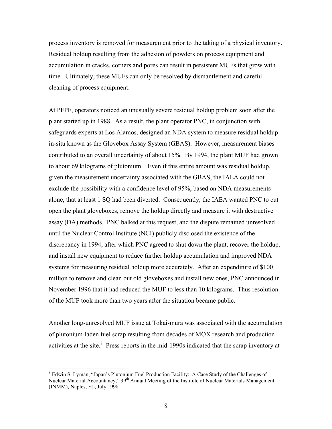process inventory is removed for measurement prior to the taking of a physical inventory. Residual holdup resulting from the adhesion of powders on process equipment and accumulation in cracks, corners and pores can result in persistent MUFs that grow with time. Ultimately, these MUFs can only be resolved by dismantlement and careful cleaning of process equipment.

At PFPF, operators noticed an unusually severe residual holdup problem soon after the plant started up in 1988. As a result, the plant operator PNC, in conjunction with safeguards experts at Los Alamos, designed an NDA system to measure residual holdup in-situ known as the Glovebox Assay System (GBAS). However, measurement biases contributed to an overall uncertainty of about 15%. By 1994, the plant MUF had grown to about 69 kilograms of plutonium. Even if this entire amount was residual holdup, given the measurement uncertainty associated with the GBAS, the IAEA could not exclude the possibility with a confidence level of 95%, based on NDA measurements alone, that at least 1 SQ had been diverted. Consequently, the IAEA wanted PNC to cut open the plant gloveboxes, remove the holdup directly and measure it with destructive assay (DA) methods. PNC balked at this request, and the dispute remained unresolved until the Nuclear Control Institute (NCI) publicly disclosed the existence of the discrepancy in 1994, after which PNC agreed to shut down the plant, recover the holdup, and install new equipment to reduce further holdup accumulation and improved NDA systems for measuring residual holdup more accurately. After an expenditure of \$100 million to remove and clean out old gloveboxes and install new ones, PNC announced in November 1996 that it had reduced the MUF to less than 10 kilograms. Thus resolution of the MUF took more than two years after the situation became public.

Another long-unresolved MUF issue at Tokai-mura was associated with the accumulation of plutonium-laden fuel scrap resulting from decades of MOX research and production activities at the site. $8$  Press reports in the mid-1990s indicated that the scrap inventory at

<sup>&</sup>lt;sup>8</sup> Edwin S. Lyman, "Japan's Plutonium Fuel Production Facility: A Case Study of the Challenges of Nuclear Material Accountancy," 39<sup>th</sup> Annual Meeting of the Institute of Nuclear Materials Management (INMM), Naples, FL, July 1998.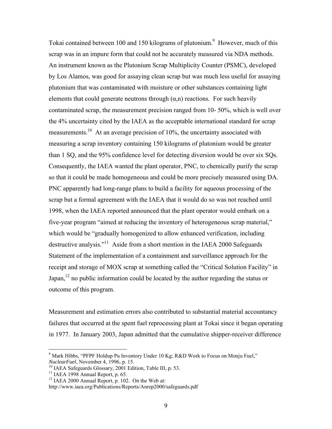Tokai contained between 100 and 150 kilograms of plutonium.<sup>9</sup> However, much of this scrap was in an impure form that could not be accurately measured via NDA methods. An instrument known as the Plutonium Scrap Multiplicity Counter (PSMC), developed by Los Alamos, was good for assaying clean scrap but was much less useful for assaying plutonium that was contaminated with moisture or other substances containing light elements that could generate neutrons through  $(\alpha, n)$  reactions. For such heavily contaminated scrap, the measurement precision ranged from 10- 50%, which is well over the 4% uncertainty cited by the IAEA as the acceptable international standard for scrap measurements.<sup>10</sup> At an average precision of  $10\%$ , the uncertainty associated with measuring a scrap inventory containing 150 kilograms of plutonium would be greater than 1 SQ, and the 95% confidence level for detecting diversion would be over six SQs. Consequently, the IAEA wanted the plant operator, PNC, to chemically purify the scrap so that it could be made homogeneous and could be more precisely measured using DA. PNC apparently had long-range plans to build a facility for aqueous processing of the scrap but a formal agreement with the IAEA that it would do so was not reached until 1998, when the IAEA reported announced that the plant operator would embark on a five-year program "aimed at reducing the inventory of heterogeneous scrap material," which would be "gradually homogenized to allow enhanced verification, including destructive analysis."11 Aside from a short mention in the IAEA 2000 Safeguards Statement of the implementation of a containment and surveillance approach for the receipt and storage of MOX scrap at something called the "Critical Solution Facility" in Japan,  $12$  no public information could be located by the author regarding the status or outcome of this program.

Measurement and estimation errors also contributed to substantial material accountancy failures that occurred at the spent fuel reprocessing plant at Tokai since it began operating in 1977. In January 2003, Japan admitted that the cumulative shipper-receiver difference

<sup>&</sup>lt;sup>9</sup> Mark Hibbs, "PFPF Holdup Pu Inventory Under 10 Kg; R&D Work to Focus on Monju Fuel," *NuclearFuel*, November 4, 1996, p. 15.<br><sup>10</sup> IAEA Safeguards Glossary, 2001 Edition, Table III, p. 53.

<sup>&</sup>lt;sup>11</sup> IAEA 1998 Annual Report, p. 65.

 $12$  IAEA 2000 Annual Report, p. 102. On the Web at:

http://www.iaea.org/Publications/Reports/Anrep2000/safeguards.pdf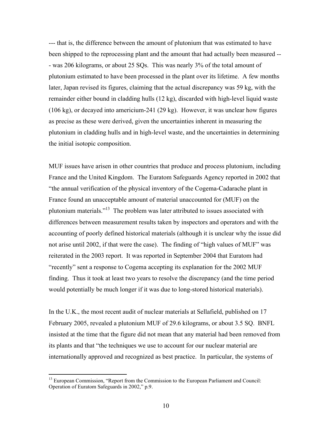--- that is, the difference between the amount of plutonium that was estimated to have been shipped to the reprocessing plant and the amount that had actually been measured -- - was 206 kilograms, or about 25 SQs. This was nearly 3% of the total amount of plutonium estimated to have been processed in the plant over its lifetime. A few months later, Japan revised its figures, claiming that the actual discrepancy was 59 kg, with the remainder either bound in cladding hulls (12 kg), discarded with high-level liquid waste (106 kg), or decayed into americium-241 (29 kg). However, it was unclear how figures as precise as these were derived, given the uncertainties inherent in measuring the plutonium in cladding hulls and in high-level waste, and the uncertainties in determining the initial isotopic composition.

MUF issues have arisen in other countries that produce and process plutonium, including France and the United Kingdom. The Euratom Safeguards Agency reported in 2002 that "the annual verification of the physical inventory of the Cogema-Cadarache plant in France found an unacceptable amount of material unaccounted for (MUF) on the plutonium materials."13 The problem was later attributed to issues associated with differences between measurement results taken by inspectors and operators and with the accounting of poorly defined historical materials (although it is unclear why the issue did not arise until 2002, if that were the case). The finding of "high values of MUF" was reiterated in the 2003 report. It was reported in September 2004 that Euratom had "recently" sent a response to Cogema accepting its explanation for the 2002 MUF finding. Thus it took at least two years to resolve the discrepancy (and the time period would potentially be much longer if it was due to long-stored historical materials).

In the U.K., the most recent audit of nuclear materials at Sellafield, published on 17 February 2005, revealed a plutonium MUF of 29.6 kilograms, or about 3.5 SQ. BNFL insisted at the time that the figure did not mean that any material had been removed from its plants and that "the techniques we use to account for our nuclear material are internationally approved and recognized as best practice. In particular, the systems of

<sup>&</sup>lt;sup>13</sup> European Commission, "Report from the Commission to the European Parliament and Council: Operation of Euratom Safeguards in 2002," p.9.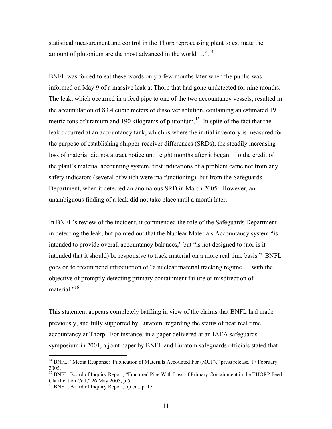statistical measurement and control in the Thorp reprocessing plant to estimate the amount of plutonium are the most advanced in the world  $\ldots$ <sup>14</sup>

BNFL was forced to eat these words only a few months later when the public was informed on May 9 of a massive leak at Thorp that had gone undetected for nine months. The leak, which occurred in a feed pipe to one of the two accountancy vessels, resulted in the accumulation of 83.4 cubic meters of dissolver solution, containing an estimated 19 metric tons of uranium and 190 kilograms of plutonium.<sup>15</sup> In spite of the fact that the leak occurred at an accountancy tank, which is where the initial inventory is measured for the purpose of establishing shipper-receiver differences (SRDs), the steadily increasing loss of material did not attract notice until eight months after it began. To the credit of the plant's material accounting system, first indications of a problem came not from any safety indicators (several of which were malfunctioning), but from the Safeguards Department, when it detected an anomalous SRD in March 2005. However, an unambiguous finding of a leak did not take place until a month later.

In BNFL's review of the incident, it commended the role of the Safeguards Department in detecting the leak, but pointed out that the Nuclear Materials Accountancy system "is intended to provide overall accountancy balances," but "is not designed to (nor is it intended that it should) be responsive to track material on a more real time basis." BNFL goes on to recommend introduction of "a nuclear material tracking regime … with the objective of promptly detecting primary containment failure or misdirection of material."<sup>16</sup>

This statement appears completely baffling in view of the claims that BNFL had made previously, and fully supported by Euratom, regarding the status of near real time accountancy at Thorp. For instance, in a paper delivered at an IAEA safeguards symposium in 2001, a joint paper by BNFL and Euratom safeguards officials stated that

<sup>&</sup>lt;sup>14</sup> BNFL, "Media Response: Publication of Materials Accounted For (MUF)," press release, 17 February 2005.

<sup>&</sup>lt;sup>15</sup> BNFL, Board of Inquiry Report, "Fractured Pipe With Loss of Primary Containment in the THORP Feed Clarification Cell," 26 May 2005, p.5.

<sup>16</sup> BNFL, Board of Inquiry Report, op cit., p. 15.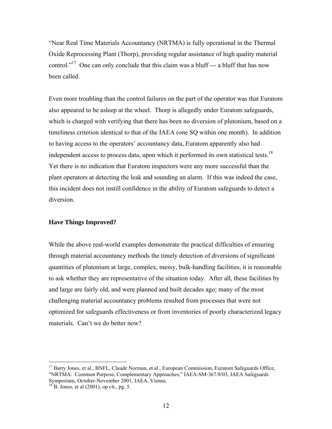"Near Real Time Materials Accountancy (NRTMA) is fully operational in the Thermal Oxide Reprocessing Plant (Thorp), providing regular assistance of high quality material control."<sup>17</sup> One can only conclude that this claim was a bluff  $---$  a bluff that has now been called.

Even more troubling than the control failures on the part of the operator was that Euratom also appeared to be asleep at the wheel. Thorp is allegedly under Euratom safeguards, which is charged with verifying that there has been no diversion of plutonium, based on a timeliness criterion identical to that of the IAEA (one SQ within one month). In addition to having access to the operators' accountancy data, Euratom apparently also had independent access to process data, upon which it performed its own statistical tests.<sup>18</sup> Yet there is no indication that Euratom inspectors were any more successful than the plant operators at detecting the leak and sounding an alarm. If this was indeed the case, this incident does not instill confidence in the ability of Euratom safeguards to detect a diversion.

# **Have Things Improved?**

While the above real-world examples demonstrate the practical difficulties of ensuring through material accountancy methods the timely detection of diversions of significant quantities of plutonium at large, complex, messy, bulk-handling facilities, it is reasonable to ask whether they are representative of the situation today. After all, these facilities by and large are fairly old, and were planned and built decades ago; many of the most challenging material accountancy problems resulted from processes that were not optimized for safeguards effectiveness or from inventories of poorly characterized legacy materials. Can't we do better now?

<sup>&</sup>lt;sup>17</sup> Barry Jones, et al., BNFL, Claude Norman, et al., European Commission, Euratom Safeguards Office, "NRTMA: Common Purpose, Complementary Approaches," IAEA-SM-367/8/03, IAEA Safeguards Symposium, October-November 2001, IAEA, Vienna.

 $^{18}$  B. Jones, et al (2001), op cit., pg. 5.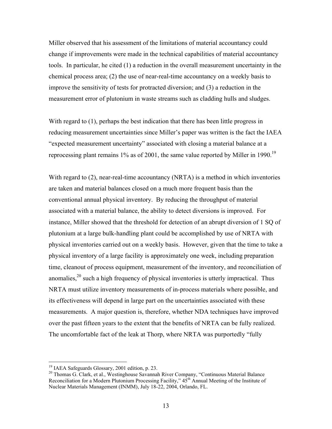Miller observed that his assessment of the limitations of material accountancy could change if improvements were made in the technical capabilities of material accountancy tools. In particular, he cited (1) a reduction in the overall measurement uncertainty in the chemical process area; (2) the use of near-real-time accountancy on a weekly basis to improve the sensitivity of tests for protracted diversion; and (3) a reduction in the measurement error of plutonium in waste streams such as cladding hulls and sludges.

With regard to (1), perhaps the best indication that there has been little progress in reducing measurement uncertainties since Miller's paper was written is the fact the IAEA "expected measurement uncertainty" associated with closing a material balance at a reprocessing plant remains 1% as of 2001, the same value reported by Miller in 1990.<sup>19</sup>

With regard to (2), near-real-time accountancy (NRTA) is a method in which inventories are taken and material balances closed on a much more frequent basis than the conventional annual physical inventory. By reducing the throughput of material associated with a material balance, the ability to detect diversions is improved. For instance, Miller showed that the threshold for detection of an abrupt diversion of 1 SQ of plutonium at a large bulk-handling plant could be accomplished by use of NRTA with physical inventories carried out on a weekly basis. However, given that the time to take a physical inventory of a large facility is approximately one week, including preparation time, cleanout of process equipment, measurement of the inventory, and reconciliation of anomalies,  $2^{\circ}$  such a high frequency of physical inventories is utterly impractical. Thus NRTA must utilize inventory measurements of in-process materials where possible, and its effectiveness will depend in large part on the uncertainties associated with these measurements. A major question is, therefore, whether NDA techniques have improved over the past fifteen years to the extent that the benefits of NRTA can be fully realized. The uncomfortable fact of the leak at Thorp, where NRTA was purportedly "fully

<sup>19</sup> IAEA Safeguards Glossary, 2001 edition, p. 23.

<sup>&</sup>lt;sup>20</sup> Thomas G. Clark, et al., Westinghouse Savannah River Company, "Continuous Material Balance Reconciliation for a Modern Plutonium Processing Facility,"  $45<sup>th</sup>$  Annual Meeting of the Institute of Nuclear Materials Management (INMM), July 18-22, 2004, Orlando, FL.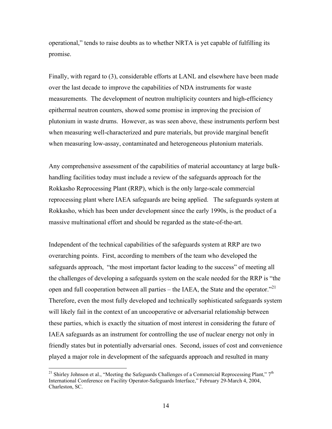operational," tends to raise doubts as to whether NRTA is yet capable of fulfilling its promise.

Finally, with regard to (3), considerable efforts at LANL and elsewhere have been made over the last decade to improve the capabilities of NDA instruments for waste measurements. The development of neutron multiplicity counters and high-efficiency epithermal neutron counters, showed some promise in improving the precision of plutonium in waste drums. However, as was seen above, these instruments perform best when measuring well-characterized and pure materials, but provide marginal benefit when measuring low-assay, contaminated and heterogeneous plutonium materials.

Any comprehensive assessment of the capabilities of material accountancy at large bulkhandling facilities today must include a review of the safeguards approach for the Rokkasho Reprocessing Plant (RRP), which is the only large-scale commercial reprocessing plant where IAEA safeguards are being applied. The safeguards system at Rokkasho, which has been under development since the early 1990s, is the product of a massive multinational effort and should be regarded as the state-of-the-art.

Independent of the technical capabilities of the safeguards system at RRP are two overarching points. First, according to members of the team who developed the safeguards approach, "the most important factor leading to the success" of meeting all the challenges of developing a safeguards system on the scale needed for the RRP is "the open and full cooperation between all parties – the IAEA, the State and the operator. $^{21}$ Therefore, even the most fully developed and technically sophisticated safeguards system will likely fail in the context of an uncooperative or adversarial relationship between these parties, which is exactly the situation of most interest in considering the future of IAEA safeguards as an instrument for controlling the use of nuclear energy not only in friendly states but in potentially adversarial ones. Second, issues of cost and convenience played a major role in development of the safeguards approach and resulted in many

<sup>&</sup>lt;sup>21</sup> Shirley Johnson et al., "Meeting the Safeguards Challenges of a Commercial Reprocessing Plant,"  $7<sup>th</sup>$ International Conference on Facility Operator-Safeguards Interface," February 29-March 4, 2004, Charleston, SC.